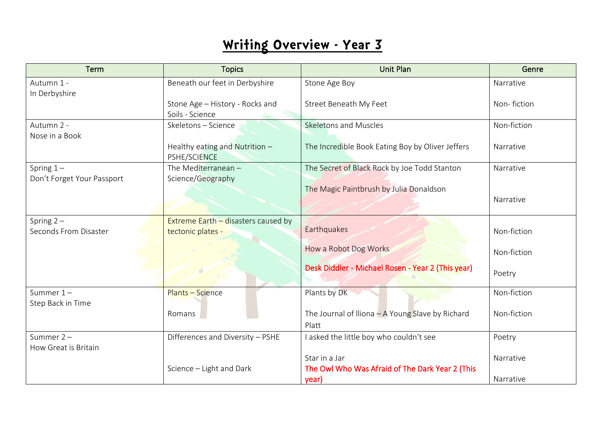| Term                                  | <b>Topics</b>                                              | <b>Unit Plan</b>                                                 | Genre       |
|---------------------------------------|------------------------------------------------------------|------------------------------------------------------------------|-------------|
| Autumn 1 -                            | Beneath our feet in Derbyshire                             | Stone Age Boy                                                    | Narrative   |
| In Derbyshire                         | Stone Age - History - Rocks and<br>Soils - Science         | Street Beneath My Feet                                           | Non-fiction |
| Autumn 2 -                            | Skeletons - Science                                        | <b>Skeletons and Muscles</b>                                     | Non-fiction |
| Nose in a Book                        | Healthy eating and Nutrition -<br>PSHE/SCIENCE             | The Incredible Book Eating Boy by Oliver Jeffers                 | Narrative   |
| Spring $1-$                           | The Mediterranean -                                        | The Secret of Black Rock by Joe Todd Stanton                     | Narrative   |
| Don't Forget Your Passport            | Science/Geography                                          | The Magic Paintbrush by Julia Donaldson                          | Narrative   |
| Spring $2 -$<br>Seconds From Disaster | Extreme Earth $-$ disasters caused by<br>tectonic plates - | Earthquakes                                                      | Non-fiction |
|                                       |                                                            | How a Robot Dog Works                                            | Non-fiction |
|                                       |                                                            | Desk Diddler - Michael Rosen - Year 2 (This year)                | Poetry      |
| Summer $1 -$<br>Step Back in Time     | <b>Plants - Science</b>                                    | Plants by DK                                                     | Non-fiction |
|                                       | Romans                                                     | The Journal of Iliona $-A$ Young Slave by Richard<br>Platt       | Non-fiction |
| Summer $2 -$<br>How Great is Britain  | Differences and Diversity - PSHE                           | I asked the little boy who couldn't see                          | Poetry      |
|                                       | Science - Light and Dark                                   | Star in a Jar<br>The Owl Who Was Afraid of The Dark Year 2 (This | Narrative   |
|                                       |                                                            | year)                                                            | Narrative   |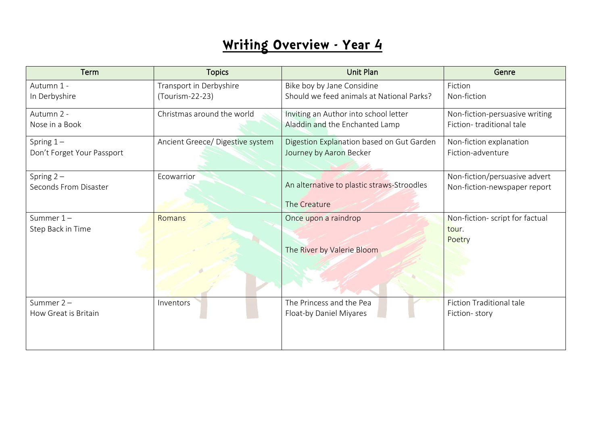| Term                              | <b>Topics</b>                    | <b>Unit Plan</b>                                   | Genre                                              |
|-----------------------------------|----------------------------------|----------------------------------------------------|----------------------------------------------------|
| Autumn 1 -                        | Transport in Derbyshire          | Bike boy by Jane Considine                         | Fiction                                            |
| In Derbyshire                     | (Tourism-22-23)                  | Should we feed animals at National Parks?          | Non-fiction                                        |
| Autumn 2 -                        | Christmas around the world       | Inviting an Author into school letter              | Non-fiction-persuasive writing                     |
| Nose in a Book                    |                                  | Aladdin and the Enchanted Lamp                     | Fiction-traditional tale                           |
| Spring $1-$                       | Ancient Greece/ Digestive system | Digestion Explanation based on Gut Garden          | Non-fiction explanation                            |
| Don't Forget Your Passport        |                                  | Journey by Aaron Becker                            | Fiction-adventure                                  |
| Spring $2 -$                      | Ecowarrior                       | An alternative to plastic straws-Stroodles         | Non-fiction/persuasive advert                      |
| Seconds From Disaster             |                                  | The Creature                                       | Non-fiction-newspaper report                       |
| Summer $1 -$<br>Step Back in Time | Romans                           | Once upon a raindrop<br>The River by Valerie Bloom | Non-fiction- script for factual<br>tour.<br>Poetry |
| Summer $2 -$                      | Inventors                        | The Princess and the Pea                           | <b>Fiction Traditional tale</b>                    |
| How Great is Britain              |                                  | Float-by Daniel Miyares                            | Fiction-story                                      |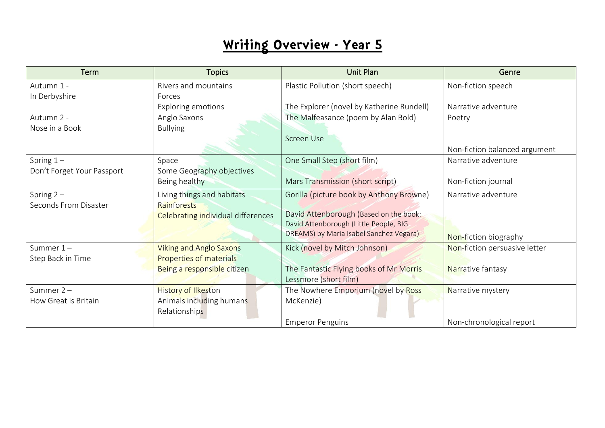| <b>Term</b>                | <b>Topics</b>                             | <b>Unit Plan</b>                          | Genre                         |
|----------------------------|-------------------------------------------|-------------------------------------------|-------------------------------|
| Autumn 1 -                 | Rivers and mountains                      | Plastic Pollution (short speech)          | Non-fiction speech            |
| In Derbyshire              | Forces                                    |                                           |                               |
|                            | <b>Exploring emotions</b>                 | The Explorer (novel by Katherine Rundell) | Narrative adventure           |
| Autumn 2 -                 | Anglo Saxons                              | The Malfeasance (poem by Alan Bold)       | Poetry                        |
| Nose in a Book             | <b>Bullying</b>                           |                                           |                               |
|                            |                                           | Screen Use                                |                               |
|                            |                                           |                                           | Non-fiction balanced argument |
| Spring $1 -$               | Space                                     | One Small Step (short film)               | Narrative adventure           |
| Don't Forget Your Passport | Some Geography objectives                 |                                           |                               |
|                            | Being healthy                             | Mars Transmission (short script)          | Non-fiction journal           |
| Spring $2 -$               | Living things and habitats                | Gorilla (picture book by Anthony Browne)  | Narrative adventure           |
| Seconds From Disaster      | Rainforests                               |                                           |                               |
|                            | <b>Celebrating individual differences</b> | David Attenborough (Based on the book:    |                               |
|                            |                                           | David Attenborough (Little People, BIG    |                               |
|                            |                                           | DREAMS) by Maria Isabel Sanchez Vegara)   | Non-fiction biography         |
| Summer $1-$                | <b>Viking and Anglo Saxons</b>            | Kick (novel by Mitch Johnson)             | Non-fiction persuasive letter |
| Step Back in Time          | <b>Properties of materials</b>            |                                           |                               |
|                            | Being a responsible citizen               | The Fantastic Flying books of Mr Morris   | Narrative fantasy             |
|                            |                                           | Lessmore (short film)                     |                               |
| Summer $2 -$               | <b>History of Ilkeston</b>                | The Nowhere Emporium (novel by Ross       | Narrative mystery             |
| How Great is Britain       | Animals including humans                  | McKenzie)                                 |                               |
|                            | Relationships                             |                                           |                               |
|                            |                                           | <b>Emperor Penguins</b>                   | Non-chronological report      |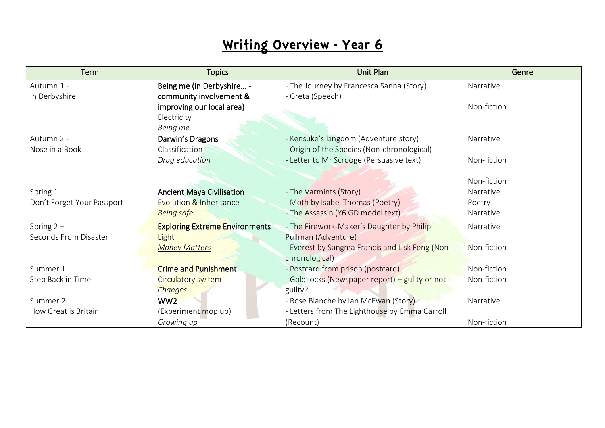| Term                       | <b>Topics</b>                         | <b>Unit Plan</b>                                | Genre       |
|----------------------------|---------------------------------------|-------------------------------------------------|-------------|
| Autumn 1 -                 | Being me (in Derbyshire -             | - The Journey by Francesca Sanna (Story)        | Narrative   |
| In Derbyshire              | community involvement &               | - Greta (Speech)                                |             |
|                            | improving our local area)             |                                                 | Non-fiction |
|                            | Electricity                           |                                                 |             |
|                            | Being me                              |                                                 |             |
| Autumn 2 -                 | Darwin's Dragons                      | - Kensuke's kingdom (Adventure story)           | Narrative   |
| Nose in a Book             | Classification                        | - Origin of the Species (Non-chronological)     |             |
|                            | Drug education                        | - Letter to Mr Scrooge (Persuasive text)        | Non-fiction |
|                            |                                       |                                                 |             |
|                            |                                       |                                                 | Non-fiction |
| Spring $1 -$               | <b>Ancient Maya Civilisation</b>      | - The Varmints (Story)                          | Narrative   |
| Don't Forget Your Passport | <b>Evolution &amp; Inheritance</b>    | - Moth by Isabel Thomas (Poetry)                | Poetry      |
|                            | <b>Being safe</b>                     | - The Assassin (Y6 GD model text)               | Narrative   |
| Spring $2 -$               | <b>Exploring Extreme Environments</b> | - The Firework-Maker's Daughter by Philip       | Narrative   |
| Seconds From Disaster      | Light                                 | Pullman (Adventure)                             |             |
|                            | <b>Money Matters</b>                  | - Everest by Sangma Francis and Lisk Feng (Non- | Non-fiction |
|                            |                                       | chronological)                                  |             |
| Summer $1 -$               | <b>Crime and Punishment</b>           | - Postcard from prison (postcard)               | Non-fiction |
| Step Back in Time          | Circulatory system                    | - Goldilocks (Newspaper report) - guilty or not | Non-fiction |
|                            | Changes                               | guilty?                                         |             |
| Summer $2 -$               | WW <sub>2</sub>                       | - Rose Blanche by Ian McEwan (Story)            | Narrative   |
| How Great is Britain       | (Experiment mop up)                   | - Letters from The Lighthouse by Emma Carroll   |             |
|                            | <b>Growing up</b>                     | (Recount)                                       | Non-fiction |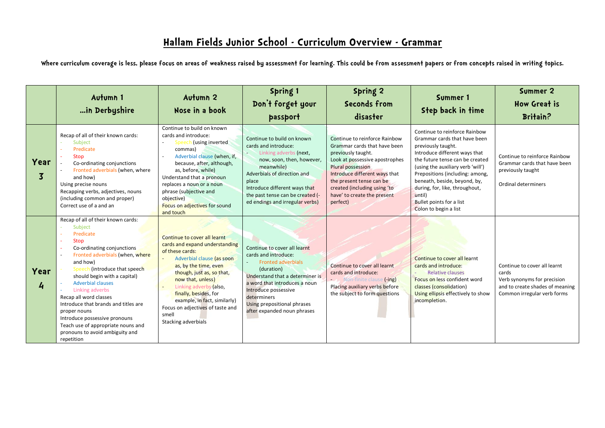**Where curriculum coverage is less, please focus on areas of weakness raised by assessment for learning. This could be from assessment papers or from concepts raised in writing topics.** 

|                        | Autumn 1<br>in Derbyshire                                                                                                                                                                                                                                                                                                                                                                                                                                                           | Autumn 2<br>Nose in a book                                                                                                                                                                                                                                                                                                                                             | Spring 1<br>Don't forget your<br>passport                                                                                                                                                                                                                                | Spring 2<br>Seconds from<br>disaster                                                                                                                                                                                                                                               | Summer 1<br>Step back in time                                                                                                                                                                                                                                                                                                                                    | Summer 2<br><b>How Great is</b><br><b>Britain?</b>                                                                                     |
|------------------------|-------------------------------------------------------------------------------------------------------------------------------------------------------------------------------------------------------------------------------------------------------------------------------------------------------------------------------------------------------------------------------------------------------------------------------------------------------------------------------------|------------------------------------------------------------------------------------------------------------------------------------------------------------------------------------------------------------------------------------------------------------------------------------------------------------------------------------------------------------------------|--------------------------------------------------------------------------------------------------------------------------------------------------------------------------------------------------------------------------------------------------------------------------|------------------------------------------------------------------------------------------------------------------------------------------------------------------------------------------------------------------------------------------------------------------------------------|------------------------------------------------------------------------------------------------------------------------------------------------------------------------------------------------------------------------------------------------------------------------------------------------------------------------------------------------------------------|----------------------------------------------------------------------------------------------------------------------------------------|
| Year<br>$\overline{3}$ | Recap of all of their known cards:<br>Subject<br>Predicate<br><b>Stop</b><br>Co-ordinating conjunctions<br>Fronted adverbials (when, where<br>and how)<br>Using precise nouns<br>Recapping verbs, adjectives, nouns<br>(including common and proper)<br>Correct use of a and an                                                                                                                                                                                                     | Continue to build on known<br>cards and introduce:<br>Speech (using inverted<br>commas)<br>Adverbial clause (when, if,<br>$\sim$<br>because, after, although,<br>as, before, while)<br>Understand that a pronoun<br>replaces a noun or a noun<br>phrase (subjective and<br>objective)<br>Focus on adjectives for sound<br>and touch                                    | Continue to build on known<br>cards and introduce:<br>Linking adverbs (next,<br>now, soon, then, however,<br>meanwhile)<br>Adverbials of direction and<br>place<br>Introduce different ways that<br>the past tense can be created (-<br>ed endings and irregular verbs)  | Continue to reinforce Rainbow<br>Grammar cards that have been<br>previously taught.<br>Look at possessive apostrophes<br>Plural possession<br>Introduce different ways that<br>the present tense can be<br>created (including using 'to<br>have' to create the present<br>perfect) | Continue to reinforce Rainbow<br>Grammar cards that have been<br>previously taught.<br>Introduce different ways that<br>the future tense can be created<br>(using the auxiliary verb 'will')<br>Prepositions (including: among,<br>beneath, beside, beyond, by,<br>during, for, like, throughout,<br>until)<br>Bullet points for a list<br>Colon to begin a list | Continue to reinforce Rainbow<br>Grammar cards that have been<br>previously taught<br>Ordinal determiners                              |
| Year<br>4              | Recap of all of their known cards:<br>Subject<br>Predicate<br>Stop<br>$\sim$<br>Co-ordinating conjunctions<br>Fronted adverbials (when, where<br>and how)<br>Speech (introduce that speech<br>should begin with a capital)<br><b>Adverbial clauses</b><br>Linking adverbs<br>Recap all word classes<br>Introduce that brands and titles are<br>proper nouns<br>Introduce possessive pronouns<br>Teach use of appropriate nouns and<br>pronouns to avoid ambiguity and<br>repetition | Continue to cover all learnt<br>cards and expand understanding<br>of these cards:<br>Adverbial clause (as soon<br>$\omega$<br>as, by the time, even<br>though, just as, so that,<br>now that, unless)<br>Linking adverbs (also,<br>$\sim$<br>finally, besides, for<br>example, in fact, similarly)<br>Focus on adjectives of taste and<br>smell<br>Stacking adverbials | Continue to cover all learnt<br>cards and introduce:<br><b>Fronted adverbials</b><br>(duration)<br>Understand that a determiner is<br>a word that introduces a noun<br>Introduce possessive<br>determiners<br>Using prepositional phrases<br>after expanded noun phrases | Continue to cover all learnt<br>cards and introduce:<br>Non-finite clause (-ing)<br>Placing auxiliary verbs before<br>the subject to form questions                                                                                                                                | Continue to cover all learnt<br>cards and introduce:<br><b>Relative clauses</b><br>Focus on less confident word<br>classes (consolidation)<br>Using ellipsis effectively to show<br>incompletion.                                                                                                                                                                | Continue to cover all learnt<br>cards<br>Verb synonyms for precision<br>and to create shades of meaning<br>Common irregular verb forms |